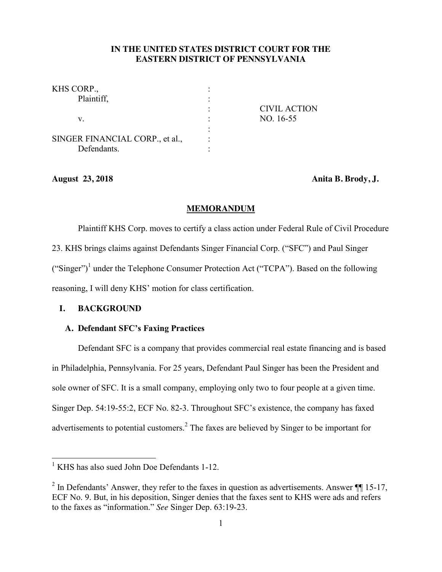# **IN THE UNITED STATES DISTRICT COURT FOR THE EASTERN DISTRICT OF PENNSYLVANIA**

| <b>CIVIL ACTION</b> |
|---------------------|
| NO. 16-55           |
|                     |
|                     |
|                     |
|                     |

**August 23, 2018 Anita B. Brody, J.**

#### **MEMORANDUM**

Plaintiff KHS Corp. moves to certify a class action under Federal Rule of Civil Procedure 23. KHS brings claims against Defendants Singer Financial Corp. ("SFC") and Paul Singer ("Singer")<sup>1</sup> under the Telephone Consumer Protection Act ("TCPA"). Based on the following reasoning, I will deny KHS' motion for class certification.

# **I. BACKGROUND**

## **A. Defendant SFC's Faxing Practices**

Defendant SFC is a company that provides commercial real estate financing and is based in Philadelphia, Pennsylvania. For 25 years, Defendant Paul Singer has been the President and sole owner of SFC. It is a small company, employing only two to four people at a given time. Singer Dep. 54:19-55:2, ECF No. 82-3. Throughout SFC's existence, the company has faxed advertisements to potential customers.<sup>2</sup> The faxes are believed by Singer to be important for

<sup>&</sup>lt;sup>1</sup> KHS has also sued John Doe Defendants 1-12.

<sup>&</sup>lt;sup>2</sup> In Defendants' Answer, they refer to the faxes in question as advertisements. Answer  $\P$  15-17, ECF No. 9. But, in his deposition, Singer denies that the faxes sent to KHS were ads and refers to the faxes as "information." *See* Singer Dep. 63:19-23.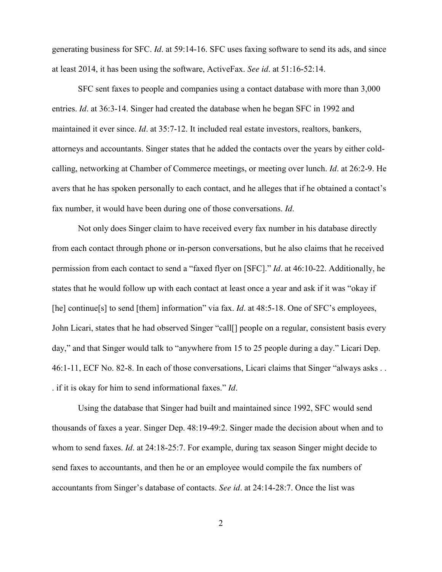generating business for SFC. *Id*. at 59:14-16. SFC uses faxing software to send its ads, and since at least 2014, it has been using the software, ActiveFax. *See id*. at 51:16-52:14.

SFC sent faxes to people and companies using a contact database with more than 3,000 entries. *Id*. at 36:3-14. Singer had created the database when he began SFC in 1992 and maintained it ever since. *Id*. at 35:7-12. It included real estate investors, realtors, bankers, attorneys and accountants. Singer states that he added the contacts over the years by either coldcalling, networking at Chamber of Commerce meetings, or meeting over lunch. *Id*. at 26:2-9. He avers that he has spoken personally to each contact, and he alleges that if he obtained a contact's fax number, it would have been during one of those conversations. *Id*.

Not only does Singer claim to have received every fax number in his database directly from each contact through phone or in-person conversations, but he also claims that he received permission from each contact to send a "faxed flyer on [SFC]." *Id*. at 46:10-22. Additionally, he states that he would follow up with each contact at least once a year and ask if it was "okay if [he] continue[s] to send [them] information" via fax. *Id.* at 48:5-18. One of SFC's employees, John Licari, states that he had observed Singer "call[] people on a regular, consistent basis every day," and that Singer would talk to "anywhere from 15 to 25 people during a day." Licari Dep. 46:1-11, ECF No. 82-8. In each of those conversations, Licari claims that Singer "always asks . . . if it is okay for him to send informational faxes." *Id*.

Using the database that Singer had built and maintained since 1992, SFC would send thousands of faxes a year. Singer Dep. 48:19-49:2. Singer made the decision about when and to whom to send faxes. *Id*. at 24:18-25:7. For example, during tax season Singer might decide to send faxes to accountants, and then he or an employee would compile the fax numbers of accountants from Singer's database of contacts. *See id*. at 24:14-28:7. Once the list was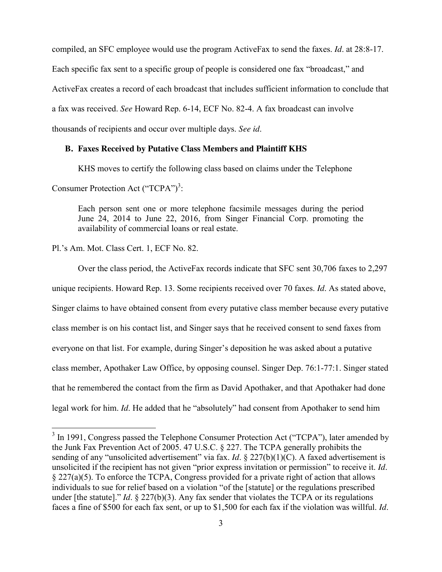compiled, an SFC employee would use the program ActiveFax to send the faxes. *Id*. at 28:8-17. Each specific fax sent to a specific group of people is considered one fax "broadcast," and ActiveFax creates a record of each broadcast that includes sufficient information to conclude that a fax was received. *See* Howard Rep. 6-14, ECF No. 82-4. A fax broadcast can involve thousands of recipients and occur over multiple days. *See id*.

#### **B. Faxes Received by Putative Class Members and Plaintiff KHS**

KHS moves to certify the following class based on claims under the Telephone Consumer Protection Act ("TCPA")<sup>3</sup>:

Each person sent one or more telephone facsimile messages during the period June 24, 2014 to June 22, 2016, from Singer Financial Corp. promoting the availability of commercial loans or real estate.

Pl.'s Am. Mot. Class Cert. 1, ECF No. 82.

Over the class period, the ActiveFax records indicate that SFC sent 30,706 faxes to 2,297 unique recipients. Howard Rep. 13. Some recipients received over 70 faxes. *Id*. As stated above, Singer claims to have obtained consent from every putative class member because every putative class member is on his contact list, and Singer says that he received consent to send faxes from everyone on that list. For example, during Singer's deposition he was asked about a putative class member, Apothaker Law Office, by opposing counsel. Singer Dep. 76:1-77:1. Singer stated that he remembered the contact from the firm as David Apothaker, and that Apothaker had done legal work for him. *Id*. He added that he "absolutely" had consent from Apothaker to send him

<sup>&</sup>lt;sup>3</sup> In 1991, Congress passed the Telephone Consumer Protection Act ("TCPA"), later amended by the Junk Fax Prevention Act of 2005. 47 U.S.C. § 227. The TCPA generally prohibits the sending of any "unsolicited advertisement" via fax. *Id.* § 227(b)(1)(C). A faxed advertisement is unsolicited if the recipient has not given "prior express invitation or permission" to receive it. *Id*. § 227(a)(5). To enforce the TCPA, Congress provided for a private right of action that allows individuals to sue for relief based on a violation "of the [statute] or the regulations prescribed under [the statute]." *Id.*  $\S$  227(b)(3). Any fax sender that violates the TCPA or its regulations faces a fine of \$500 for each fax sent, or up to \$1,500 for each fax if the violation was willful. *Id*.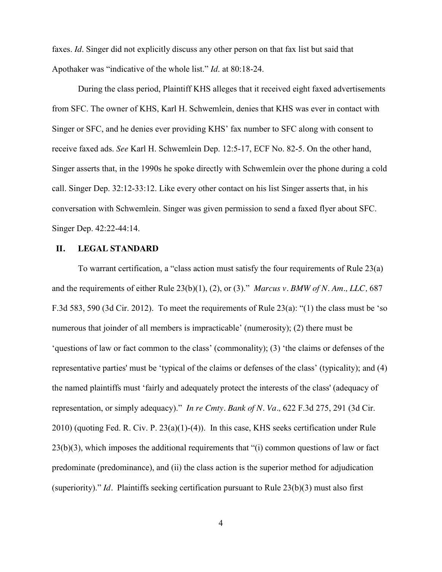faxes. *Id*. Singer did not explicitly discuss any other person on that fax list but said that Apothaker was "indicative of the whole list." *Id*. at 80:18-24.

During the class period, Plaintiff KHS alleges that it received eight faxed advertisements from SFC. The owner of KHS, Karl H. Schwemlein, denies that KHS was ever in contact with Singer or SFC, and he denies ever providing KHS' fax number to SFC along with consent to receive faxed ads. *See* Karl H. Schwemlein Dep. 12:5-17, ECF No. 82-5. On the other hand, Singer asserts that, in the 1990s he spoke directly with Schwemlein over the phone during a cold call. Singer Dep. 32:12-33:12. Like every other contact on his list Singer asserts that, in his conversation with Schwemlein. Singer was given permission to send a faxed flyer about SFC. Singer Dep. 42:22-44:14.

#### **II. LEGAL STANDARD**

To warrant certification, a "class action must satisfy the four requirements of Rule 23(a) and the requirements of either Rule 23(b)(1), (2), or (3)." *Marcus v. BMW of N. Am., LLC,* 687 F.3d 583, 590 (3d Cir. 2012). To meet the requirements of Rule 23(a): "(1) the class must be 'so numerous that joinder of all members is impracticable' (numerosity); (2) there must be 'questions of law or fact common to the class' (commonality); (3) 'the claims or defenses of the representative parties' must be 'typical of the claims or defenses of the class' (typicality); and (4) the named plaintiffs must 'fairly and adequately protect the interests of the class' (adequacy of representation, or simply adequacy)." *In re Cmty. Bank of N. Va.,* 622 F.3d 275, 291 (3d Cir. 2010) (quoting Fed. R. Civ. P. 23(a)(1)-(4)). In this case, KHS seeks certification under Rule 23(b)(3), which imposes the additional requirements that "(i) common questions of law or fact predominate (predominance), and (ii) the class action is the superior method for adjudication (superiority)." *Id.* Plaintiffs seeking certification pursuant to Rule 23(b)(3) must also first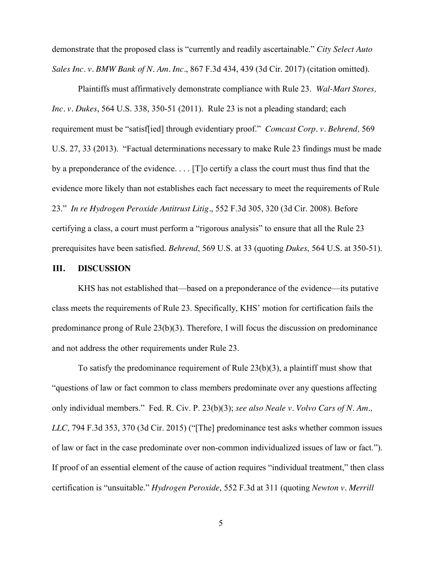demonstrate that the proposed class is "currently and readily ascertainable." *City Select Auto Sales Inc. v. BMW Bank of N. Am. Inc.*, 867 F.3d 434, 439 (3d Cir. 2017) (citation omitted).

Plaintiffs must affirmatively demonstrate compliance with Rule 23. *Wal-Mart Stores, Inc. v. Dukes*, 564 U.S. 338, 350-51 (2011). Rule 23 is not a pleading standard; each requirement must be "satisf[ied] through evidentiary proof." *Comcast Corp. v. Behrend,* 569 U.S. 27, 33 (2013). "Factual determinations necessary to make Rule 23 findings must be made by a preponderance of the evidence. . . . [T]o certify a class the court must thus find that the evidence more likely than not establishes each fact necessary to meet the requirements of Rule 23." *In re Hydrogen Peroxide Antitrust Litig.*, 552 F.3d 305, 320 (3d Cir. 2008). Before certifying a class, a court must perform a "rigorous analysis" to ensure that all the Rule 23 prerequisites have been satisfied. *Behrend*, 569 U.S. at 33 (quoting *Dukes*, 564 U.S. at 350-51).

## **III. DISCUSSION**

KHS has not established that—based on a preponderance of the evidence—its putative class meets the requirements of Rule 23. Specifically, KHS' motion for certification fails the predominance prong of Rule  $23(b)(3)$ . Therefore, I will focus the discussion on predominance and not address the other requirements under Rule 23.

To satisfy the predominance requirement of Rule 23(b)(3), a plaintiff must show that "questions of law or fact common to class members predominate over any questions affecting only individual members." Fed. R. Civ. P. 23(b)(3); *see also Neale v. Volvo Cars of N. Am., LLC*, 794 F.3d 353, 370 (3d Cir. 2015) ("[The] predominance test asks whether common issues of law or fact in the case predominate over non-common individualized issues of law or fact."). If proof of an essential element of the cause of action requires "individual treatment," then class certification is "unsuitable." *Hydrogen Peroxide*, 552 F.3d at 311 (quoting *Newton v. Merrill*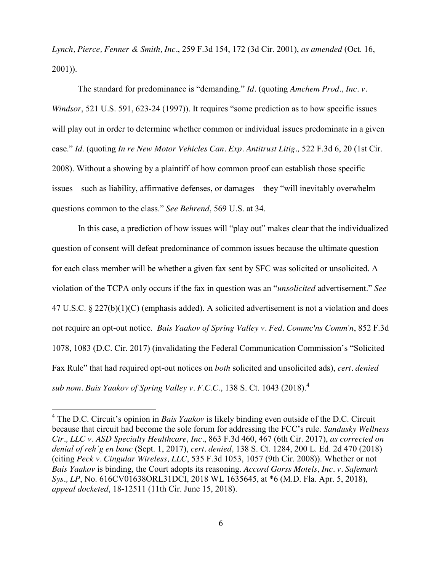*Lynch, Pierce, Fenner & Smith, Inc.*, 259 F.3d 154, 172 (3d Cir. 2001), *as amended* (Oct. 16, 2001)).

The standard for predominance is "demanding." *Id.* (quoting *Amchem Prod., Inc. v. Windsor*, 521 U.S. 591, 623-24 (1997)). It requires "some prediction as to how specific issues will play out in order to determine whether common or individual issues predominate in a given case." *Id*. (quoting *In re New Motor Vehicles Can. Exp. Antitrust Litig.,* 522 F.3d 6, 20 (1st Cir. 2008). Without a showing by a plaintiff of how common proof can establish those specific issues—such as liability, affirmative defenses, or damages—they "will inevitably overwhelm questions common to the class." *See Behrend*, 569 U.S. at 34.

In this case, a prediction of how issues will "play out" makes clear that the individualized question of consent will defeat predominance of common issues because the ultimate question for each class member will be whether a given fax sent by SFC was solicited or unsolicited. A violation of the TCPA only occurs if the fax in question was an "*unsolicited* advertisement." *See* 47 U.S.C. § 227(b)(1)(C) (emphasis added). A solicited advertisement is not a violation and does not require an opt-out notice. *Bais Yaakov of Spring Valley v. Fed. Commc'ns Comm'n*, 852 F.3d 1078, 1083 (D.C. Cir. 2017) (invalidating the Federal Communication Commission's "Solicited Fax Rule" that had required opt-out notices on *both* solicited and unsolicited ads), *cert. denied sub nom. Bais Yaakov of Spring Valley v. F.C.C.*, 138 S. Ct. 1043 (2018). 4

 <sup>4</sup> The D.C. Circuit's opinion in *Bais Yaakov* is likely binding even outside of the D.C. Circuit because that circuit had become the sole forum for addressing the FCC's rule. *Sandusky Wellness Ctr., LLC v. ASD Specialty Healthcare, Inc.*, 863 F.3d 460, 467 (6th Cir. 2017), *as corrected on denial of reh'g en banc* (Sept. 1, 2017), *cert. denied,* 138 S. Ct. 1284, 200 L. Ed. 2d 470 (2018) (citing *Peck v. Cingular Wireless, LLC*, 535 F.3d 1053, 1057 (9th Cir. 2008)). Whether or not *Bais Yaakov* is binding, the Court adopts its reasoning. *Accord Gorss Motels, Inc. v. Safemark Sys., LP*, No. 616CV01638ORL31DCI, 2018 WL 1635645, at \*6 (M.D. Fla. Apr. 5, 2018), *appeal docketed*, 18-12511 (11th Cir. June 15, 2018).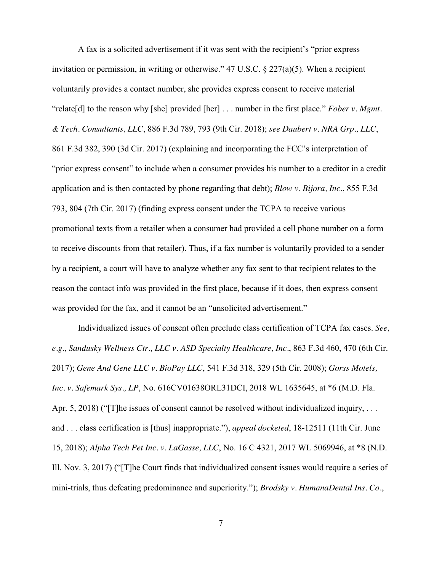A fax is a solicited advertisement if it was sent with the recipient's "prior express invitation or permission, in writing or otherwise." 47 U.S.C. § 227(a)(5). When a recipient voluntarily provides a contact number, she provides express consent to receive material "relate[d] to the reason why [she] provided [her] . . . number in the first place." *Fober v. Mgmt. & Tech. Consultants, LLC*, 886 F.3d 789, 793 (9th Cir. 2018); *see Daubert v. NRA Grp., LLC*, 861 F.3d 382, 390 (3d Cir. 2017) (explaining and incorporating the FCC's interpretation of "prior express consent" to include when a consumer provides his number to a creditor in a credit application and is then contacted by phone regarding that debt); *Blow v. Bijora, Inc.*, 855 F.3d 793, 804 (7th Cir. 2017) (finding express consent under the TCPA to receive various promotional texts from a retailer when a consumer had provided a cell phone number on a form to receive discounts from that retailer). Thus, if a fax number is voluntarily provided to a sender by a recipient, a court will have to analyze whether any fax sent to that recipient relates to the reason the contact info was provided in the first place, because if it does, then express consent was provided for the fax, and it cannot be an "unsolicited advertisement."

Individualized issues of consent often preclude class certification of TCPA fax cases. *See, e.g.*, *Sandusky Wellness Ctr., LLC v. ASD Specialty Healthcare, Inc.*, 863 F.3d 460, 470 (6th Cir. 2017); *Gene And Gene LLC v. BioPay LLC*, 541 F.3d 318, 329 (5th Cir. 2008); *Gorss Motels, Inc. v. Safemark Sys., LP*, No. 616CV01638ORL31DCI, 2018 WL 1635645, at \*6 (M.D. Fla. Apr. 5, 2018) ("[T]he issues of consent cannot be resolved without individualized inquiry, ... and . . . class certification is [thus] inappropriate."), *appeal docketed*, 18-12511 (11th Cir. June 15, 2018); *Alpha Tech Pet Inc. v. LaGasse, LLC*, No. 16 C 4321, 2017 WL 5069946, at \*8 (N.D. Ill. Nov. 3, 2017) ("[T]he Court finds that individualized consent issues would require a series of mini-trials, thus defeating predominance and superiority."); *Brodsky v. HumanaDental Ins. Co.*,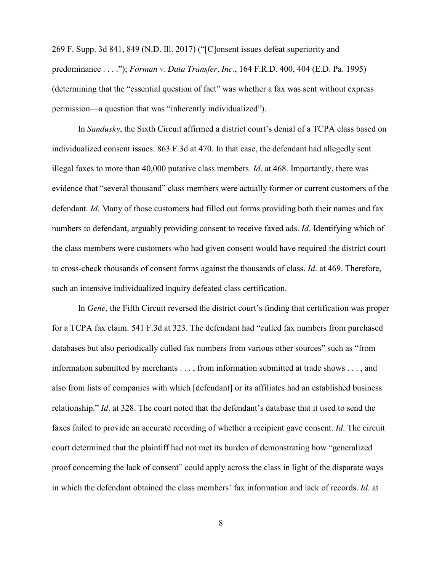269 F. Supp. 3d 841, 849 (N.D. Ill. 2017) ("[C]onsent issues defeat superiority and predominance . . . ."); *Forman v. Data Transfer, Inc.*, 164 F.R.D. 400, 404 (E.D. Pa. 1995) (determining that the "essential question of fact" was whether a fax was sent without express permission—a question that was "inherently individualized").

In *Sandusky*, the Sixth Circuit affirmed a district court's denial of a TCPA class based on individualized consent issues. 863 F.3d at 470. In that case, the defendant had allegedly sent illegal faxes to more than 40,000 putative class members. *Id*. at 468. Importantly, there was evidence that "several thousand" class members were actually former or current customers of the defendant. *Id*. Many of those customers had filled out forms providing both their names and fax numbers to defendant, arguably providing consent to receive faxed ads. *Id*. Identifying which of the class members were customers who had given consent would have required the district court to cross-check thousands of consent forms against the thousands of class. *Id*. at 469. Therefore, such an intensive individualized inquiry defeated class certification.

In *Gene*, the Fifth Circuit reversed the district court's finding that certification was proper for a TCPA fax claim. 541 F.3d at 323. The defendant had "culled fax numbers from purchased databases but also periodically culled fax numbers from various other sources" such as "from information submitted by merchants . . . , from information submitted at trade shows . . . , and also from lists of companies with which [defendant] or its affiliates had an established business relationship." *Id*. at 328. The court noted that the defendant's database that it used to send the faxes failed to provide an accurate recording of whether a recipient gave consent. *Id*. The circuit court determined that the plaintiff had not met its burden of demonstrating how "generalized proof concerning the lack of consent" could apply across the class in light of the disparate ways in which the defendant obtained the class members' fax information and lack of records. *Id*. at

8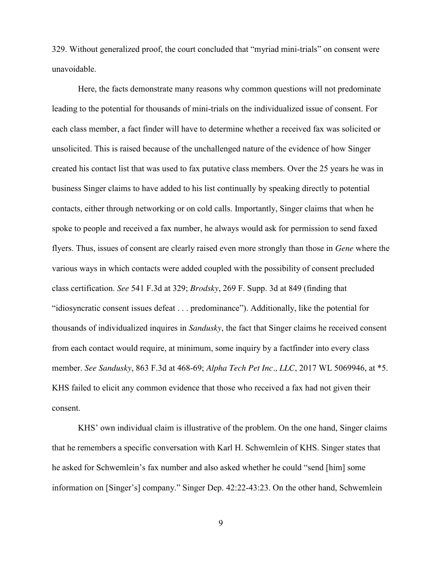329. Without generalized proof, the court concluded that "myriad mini-trials" on consent were unavoidable.

Here, the facts demonstrate many reasons why common questions will not predominate leading to the potential for thousands of mini-trials on the individualized issue of consent. For each class member, a fact finder will have to determine whether a received fax was solicited or unsolicited. This is raised because of the unchallenged nature of the evidence of how Singer created his contact list that was used to fax putative class members. Over the 25 years he was in business Singer claims to have added to his list continually by speaking directly to potential contacts, either through networking or on cold calls. Importantly, Singer claims that when he spoke to people and received a fax number, he always would ask for permission to send faxed flyers. Thus, issues of consent are clearly raised even more strongly than those in *Gene* where the various ways in which contacts were added coupled with the possibility of consent precluded class certification. *See* 541 F.3d at 329; *Brodsky*, 269 F. Supp. 3d at 849 (finding that "idiosyncratic consent issues defeat . . . predominance"). Additionally, like the potential for thousands of individualized inquires in *Sandusky*, the fact that Singer claims he received consent from each contact would require, at minimum, some inquiry by a factfinder into every class member. *See Sandusky*, 863 F.3d at 468-69; *Alpha Tech Pet Inc., LLC*, 2017 WL 5069946, at \*5. KHS failed to elicit any common evidence that those who received a fax had not given their consent.

KHS' own individual claim is illustrative of the problem. On the one hand, Singer claims that he remembers a specific conversation with Karl H. Schwemlein of KHS. Singer states that he asked for Schwemlein's fax number and also asked whether he could "send [him] some information on [Singer's] company." Singer Dep. 42:22-43:23. On the other hand, Schwemlein

9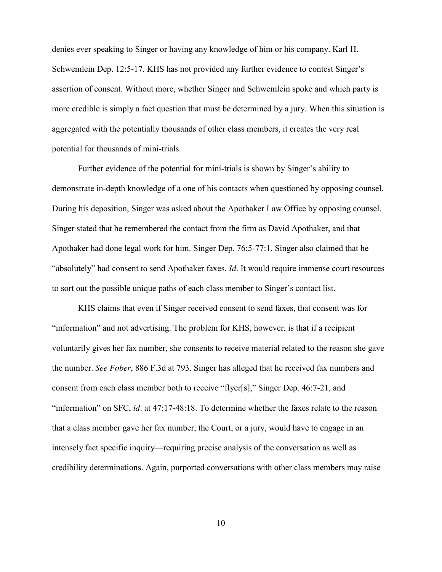denies ever speaking to Singer or having any knowledge of him or his company. Karl H. Schwemlein Dep. 12:5-17. KHS has not provided any further evidence to contest Singer's assertion of consent. Without more, whether Singer and Schwemlein spoke and which party is more credible is simply a fact question that must be determined by a jury. When this situation is aggregated with the potentially thousands of other class members, it creates the very real potential for thousands of mini-trials.

Further evidence of the potential for mini-trials is shown by Singer's ability to demonstrate in-depth knowledge of a one of his contacts when questioned by opposing counsel. During his deposition, Singer was asked about the Apothaker Law Office by opposing counsel. Singer stated that he remembered the contact from the firm as David Apothaker, and that Apothaker had done legal work for him. Singer Dep. 76:5-77:1. Singer also claimed that he "absolutely" had consent to send Apothaker faxes. *Id*. It would require immense court resources to sort out the possible unique paths of each class member to Singer's contact list.

KHS claims that even if Singer received consent to send faxes, that consent was for "information" and not advertising. The problem for KHS, however, is that if a recipient voluntarily gives her fax number, she consents to receive material related to the reason she gave the number. *See Fober*, 886 F.3d at 793. Singer has alleged that he received fax numbers and consent from each class member both to receive "flyer[s]," Singer Dep. 46:7-21, and "information" on SFC, *id*. at 47:17-48:18. To determine whether the faxes relate to the reason that a class member gave her fax number, the Court, or a jury, would have to engage in an intensely fact specific inquiry—requiring precise analysis of the conversation as well as credibility determinations. Again, purported conversations with other class members may raise

10